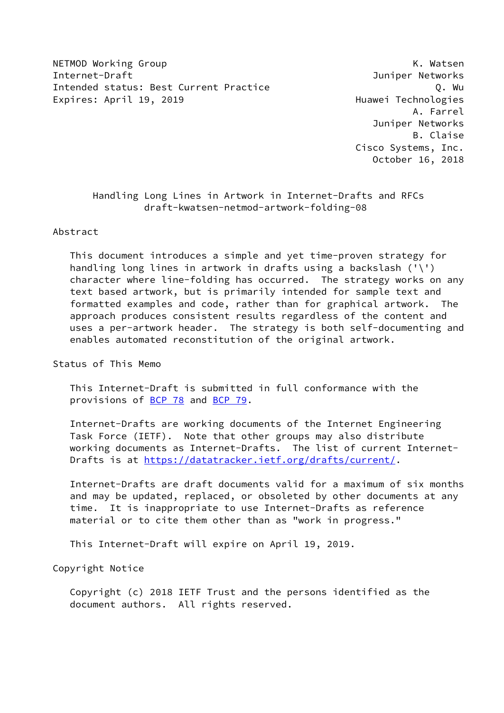NETMOD Working Group No. 2008 Network and the Matson Method Muslim Muslim Muslim Muslim Muslim Muslim Muslim M Internet-Draft Juniper Networks Intended status: Best Current Practice Q. Wu Expires: April 19, 2019 **Expires: April 19, 2019** 

 A. Farrel Juniper Networks B. Claise Cisco Systems, Inc. October 16, 2018

# Handling Long Lines in Artwork in Internet-Drafts and RFCs draft-kwatsen-netmod-artwork-folding-08

#### Abstract

 This document introduces a simple and yet time-proven strategy for handling long lines in artwork in drafts using a backslash ('\') character where line-folding has occurred. The strategy works on any text based artwork, but is primarily intended for sample text and formatted examples and code, rather than for graphical artwork. The approach produces consistent results regardless of the content and uses a per-artwork header. The strategy is both self-documenting and enables automated reconstitution of the original artwork.

Status of This Memo

 This Internet-Draft is submitted in full conformance with the provisions of [BCP 78](https://datatracker.ietf.org/doc/pdf/bcp78) and [BCP 79](https://datatracker.ietf.org/doc/pdf/bcp79).

 Internet-Drafts are working documents of the Internet Engineering Task Force (IETF). Note that other groups may also distribute working documents as Internet-Drafts. The list of current Internet- Drafts is at<https://datatracker.ietf.org/drafts/current/>.

 Internet-Drafts are draft documents valid for a maximum of six months and may be updated, replaced, or obsoleted by other documents at any time. It is inappropriate to use Internet-Drafts as reference material or to cite them other than as "work in progress."

This Internet-Draft will expire on April 19, 2019.

Copyright Notice

 Copyright (c) 2018 IETF Trust and the persons identified as the document authors. All rights reserved.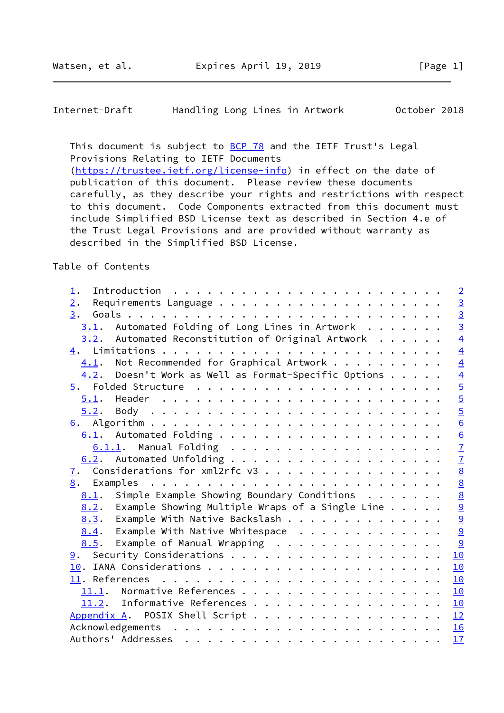<span id="page-1-0"></span>Internet-Draft Handling Long Lines in Artwork October 2018

This document is subject to **[BCP 78](https://datatracker.ietf.org/doc/pdf/bcp78)** and the IETF Trust's Legal Provisions Relating to IETF Documents [\(https://trustee.ietf.org/license-info](https://trustee.ietf.org/license-info)) in effect on the date of publication of this document. Please review these documents carefully, as they describe your rights and restrictions with respect to this document. Code Components extracted from this document must include Simplified BSD License text as described in Section 4.e of the Trust Legal Provisions and are provided without warranty as described in the Simplified BSD License.

Table of Contents

| ↨.                                                                                                                                                                                                                                                                                                                                                                                                                                                             | $\overline{2}$ |
|----------------------------------------------------------------------------------------------------------------------------------------------------------------------------------------------------------------------------------------------------------------------------------------------------------------------------------------------------------------------------------------------------------------------------------------------------------------|----------------|
| 2.                                                                                                                                                                                                                                                                                                                                                                                                                                                             | $\frac{3}{2}$  |
| 3.                                                                                                                                                                                                                                                                                                                                                                                                                                                             |                |
| $3.1$ . Automated Folding of Long Lines in Artwork                                                                                                                                                                                                                                                                                                                                                                                                             |                |
| $3.2$ . Automated Reconstitution of Original Artwork                                                                                                                                                                                                                                                                                                                                                                                                           | $\overline{4}$ |
|                                                                                                                                                                                                                                                                                                                                                                                                                                                                | $\overline{4}$ |
| Not Recommended for Graphical Artwork<br>4.1.                                                                                                                                                                                                                                                                                                                                                                                                                  |                |
| $4.2$ . Doesn't Work as Well as Format-Specific Options                                                                                                                                                                                                                                                                                                                                                                                                        |                |
|                                                                                                                                                                                                                                                                                                                                                                                                                                                                |                |
|                                                                                                                                                                                                                                                                                                                                                                                                                                                                | 445566677      |
| 5.2.                                                                                                                                                                                                                                                                                                                                                                                                                                                           |                |
|                                                                                                                                                                                                                                                                                                                                                                                                                                                                |                |
|                                                                                                                                                                                                                                                                                                                                                                                                                                                                |                |
|                                                                                                                                                                                                                                                                                                                                                                                                                                                                |                |
|                                                                                                                                                                                                                                                                                                                                                                                                                                                                |                |
| Considerations for xml2rfc v3<br>$\overline{1}$ .                                                                                                                                                                                                                                                                                                                                                                                                              |                |
| Examples<br>8.                                                                                                                                                                                                                                                                                                                                                                                                                                                 |                |
| Simple Example Showing Boundary Conditions<br>8.1.                                                                                                                                                                                                                                                                                                                                                                                                             | 8 0 0 0 0 0    |
| Example Showing Multiple Wraps of a Single Line $\ldots$ .<br>8.2.                                                                                                                                                                                                                                                                                                                                                                                             |                |
| Example With Native Backslash<br>8.3.                                                                                                                                                                                                                                                                                                                                                                                                                          |                |
| Example With Native Whitespace<br>8.4.                                                                                                                                                                                                                                                                                                                                                                                                                         |                |
| Example of Manual Wrapping<br>8.5.                                                                                                                                                                                                                                                                                                                                                                                                                             | $\overline{9}$ |
|                                                                                                                                                                                                                                                                                                                                                                                                                                                                | 10             |
|                                                                                                                                                                                                                                                                                                                                                                                                                                                                | 10             |
|                                                                                                                                                                                                                                                                                                                                                                                                                                                                | 10             |
| 11.1. Normative References                                                                                                                                                                                                                                                                                                                                                                                                                                     | 10             |
| Informative References<br>11.2.                                                                                                                                                                                                                                                                                                                                                                                                                                | 10             |
| Appendix A. POSIX Shell Script 12                                                                                                                                                                                                                                                                                                                                                                                                                              |                |
| Acknowledgements<br>. The contract of the contract of the contract of the contract of the contract of the contract of the contract of the contract of the contract of the contract of the contract of the contract of the contract of the contrac                                                                                                                                                                                                              | 16             |
| Authors' Addresses<br>$\mathbf{r}^{(i)} \cdot \mathbf{r}^{(i)} \cdot \mathbf{r}^{(i)} \cdot \mathbf{r}^{(i)} \cdot \mathbf{r}^{(i)} \cdot \mathbf{r}^{(i)} \cdot \mathbf{r}^{(i)} \cdot \mathbf{r}^{(i)} \cdot \mathbf{r}^{(i)} \cdot \mathbf{r}^{(i)} \cdot \mathbf{r}^{(i)} \cdot \mathbf{r}^{(i)} \cdot \mathbf{r}^{(i)} \cdot \mathbf{r}^{(i)} \cdot \mathbf{r}^{(i)} \cdot \mathbf{r}^{(i)} \cdot \mathbf{r}^{(i)} \cdot \mathbf{r}^{(i)} \cdot \mathbf{$ | 17             |
|                                                                                                                                                                                                                                                                                                                                                                                                                                                                |                |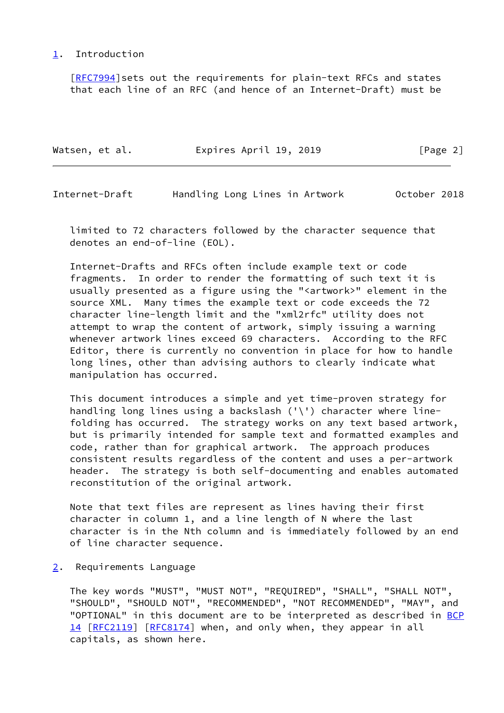## <span id="page-2-0"></span>[1](#page-2-0). Introduction

 [\[RFC7994](https://datatracker.ietf.org/doc/pdf/rfc7994)]sets out the requirements for plain-text RFCs and states that each line of an RFC (and hence of an Internet-Draft) must be

| Watsen, et al. | Expires April 19, 2019 | [Page 2] |
|----------------|------------------------|----------|
|                |                        |          |

<span id="page-2-2"></span>Internet-Draft Handling Long Lines in Artwork October 2018

 limited to 72 characters followed by the character sequence that denotes an end-of-line (EOL).

 Internet-Drafts and RFCs often include example text or code fragments. In order to render the formatting of such text it is usually presented as a figure using the "<artwork>" element in the source XML. Many times the example text or code exceeds the 72 character line-length limit and the "xml2rfc" utility does not attempt to wrap the content of artwork, simply issuing a warning whenever artwork lines exceed 69 characters. According to the RFC Editor, there is currently no convention in place for how to handle long lines, other than advising authors to clearly indicate what manipulation has occurred.

 This document introduces a simple and yet time-proven strategy for handling long lines using a backslash ('\') character where line folding has occurred. The strategy works on any text based artwork, but is primarily intended for sample text and formatted examples and code, rather than for graphical artwork. The approach produces consistent results regardless of the content and uses a per-artwork header. The strategy is both self-documenting and enables automated reconstitution of the original artwork.

 Note that text files are represent as lines having their first character in column 1, and a line length of N where the last character is in the Nth column and is immediately followed by an end of line character sequence.

<span id="page-2-1"></span>[2](#page-2-1). Requirements Language

 The key words "MUST", "MUST NOT", "REQUIRED", "SHALL", "SHALL NOT", "SHOULD", "SHOULD NOT", "RECOMMENDED", "NOT RECOMMENDED", "MAY", and "OPTIONAL" in this document are to be interpreted as described in [BCP](https://datatracker.ietf.org/doc/pdf/bcp14) [14](https://datatracker.ietf.org/doc/pdf/bcp14) [[RFC2119\]](https://datatracker.ietf.org/doc/pdf/rfc2119) [\[RFC8174](https://datatracker.ietf.org/doc/pdf/rfc8174)] when, and only when, they appear in all capitals, as shown here.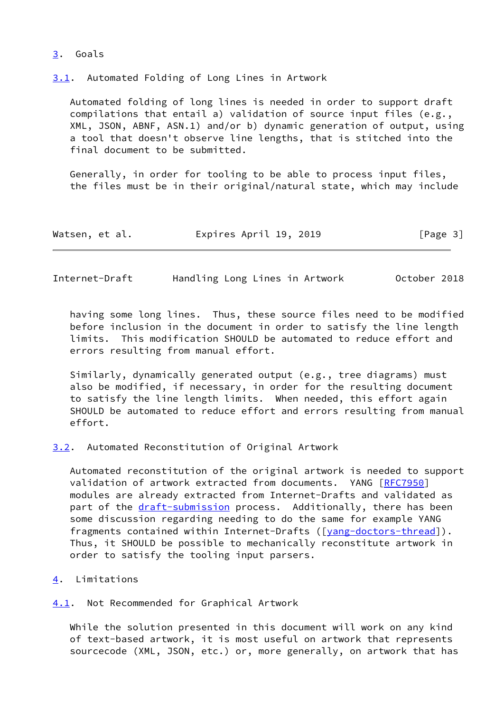## <span id="page-3-0"></span>[3](#page-3-0). Goals

<span id="page-3-1"></span>[3.1](#page-3-1). Automated Folding of Long Lines in Artwork

 Automated folding of long lines is needed in order to support draft compilations that entail a) validation of source input files (e.g., XML, JSON, ABNF, ASN.1) and/or b) dynamic generation of output, using a tool that doesn't observe line lengths, that is stitched into the final document to be submitted.

 Generally, in order for tooling to be able to process input files, the files must be in their original/natural state, which may include

| Watsen, et al. | Expires April 19, 2019 | [Page 3] |
|----------------|------------------------|----------|
|----------------|------------------------|----------|

<span id="page-3-3"></span>Internet-Draft Handling Long Lines in Artwork October 2018

 having some long lines. Thus, these source files need to be modified before inclusion in the document in order to satisfy the line length limits. This modification SHOULD be automated to reduce effort and errors resulting from manual effort.

 Similarly, dynamically generated output (e.g., tree diagrams) must also be modified, if necessary, in order for the resulting document to satisfy the line length limits. When needed, this effort again SHOULD be automated to reduce effort and errors resulting from manual effort.

<span id="page-3-2"></span>[3.2](#page-3-2). Automated Reconstitution of Original Artwork

 Automated reconstitution of the original artwork is needed to support validation of artwork extracted from documents. YANG [[RFC7950](https://datatracker.ietf.org/doc/pdf/rfc7950)] modules are already extracted from Internet-Drafts and validated as part of the [draft-submission](https://datatracker.ietf.org/doc/pdf/draft-submission) process. Additionally, there has been some discussion regarding needing to do the same for example YANG fragments contained within Internet-Drafts ([\[yang-doctors-thread](#page-11-1)]). Thus, it SHOULD be possible to mechanically reconstitute artwork in order to satisfy the tooling input parsers.

<span id="page-3-4"></span>[4](#page-3-4). Limitations

<span id="page-3-5"></span>[4.1](#page-3-5). Not Recommended for Graphical Artwork

 While the solution presented in this document will work on any kind of text-based artwork, it is most useful on artwork that represents sourcecode (XML, JSON, etc.) or, more generally, on artwork that has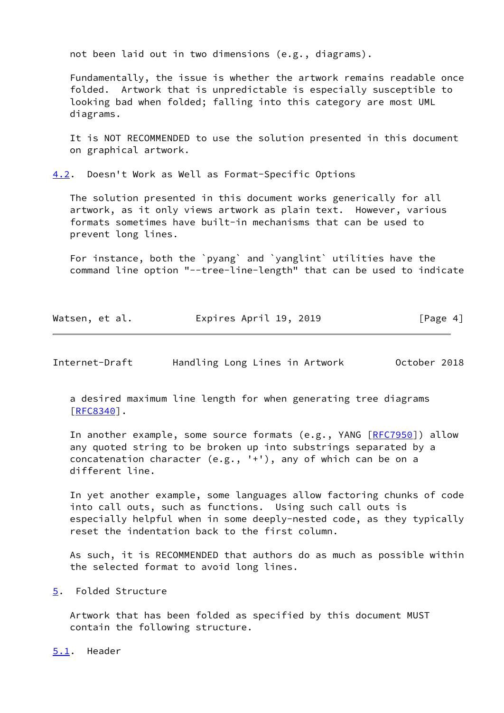not been laid out in two dimensions (e.g., diagrams).

 Fundamentally, the issue is whether the artwork remains readable once folded. Artwork that is unpredictable is especially susceptible to looking bad when folded; falling into this category are most UML diagrams.

 It is NOT RECOMMENDED to use the solution presented in this document on graphical artwork.

<span id="page-4-0"></span>[4.2](#page-4-0). Doesn't Work as Well as Format-Specific Options

 The solution presented in this document works generically for all artwork, as it only views artwork as plain text. However, various formats sometimes have built-in mechanisms that can be used to prevent long lines.

 For instance, both the `pyang` and `yanglint` utilities have the command line option "--tree-line-length" that can be used to indicate

| Watsen, et al. | Expires April 19, 2019 | [Page 4] |
|----------------|------------------------|----------|
|----------------|------------------------|----------|

<span id="page-4-2"></span>Internet-Draft Handling Long Lines in Artwork October 2018

 a desired maximum line length for when generating tree diagrams [\[RFC8340](https://datatracker.ietf.org/doc/pdf/rfc8340)].

 In another example, some source formats (e.g., YANG [\[RFC7950](https://datatracker.ietf.org/doc/pdf/rfc7950)]) allow any quoted string to be broken up into substrings separated by a concatenation character (e.g., '+'), any of which can be on a different line.

 In yet another example, some languages allow factoring chunks of code into call outs, such as functions. Using such call outs is especially helpful when in some deeply-nested code, as they typically reset the indentation back to the first column.

 As such, it is RECOMMENDED that authors do as much as possible within the selected format to avoid long lines.

<span id="page-4-1"></span>[5](#page-4-1). Folded Structure

 Artwork that has been folded as specified by this document MUST contain the following structure.

<span id="page-4-3"></span>[5.1](#page-4-3). Header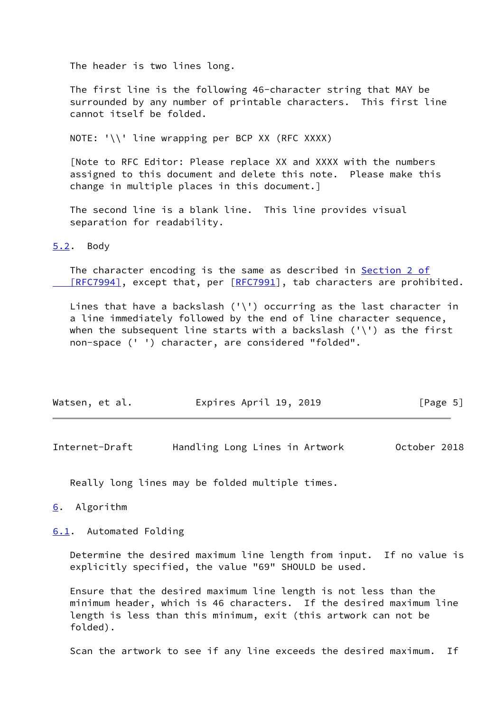The header is two lines long.

 The first line is the following 46-character string that MAY be surrounded by any number of printable characters. This first line cannot itself be folded.

NOTE: '\\' line wrapping per BCP XX (RFC XXXX)

 [Note to RFC Editor: Please replace XX and XXXX with the numbers assigned to this document and delete this note. Please make this change in multiple places in this document.]

 The second line is a blank line. This line provides visual separation for readability.

<span id="page-5-0"></span>[5.2](#page-5-0). Body

 The character encoding is the same as described in [Section](https://datatracker.ietf.org/doc/pdf/rfc7994#section-2) 2 of [RFC7994], except that, per [\[RFC7991](https://datatracker.ietf.org/doc/pdf/rfc7991)], tab characters are prohibited.

Lines that have a backslash  $('\\')$  occurring as the last character in a line immediately followed by the end of line character sequence, when the subsequent line starts with a backslash  $('\\')$  as the first non-space (' ') character, are considered "folded".

| Watsen, et al. | Expires April 19, 2019 | [Page 5] |
|----------------|------------------------|----------|
|----------------|------------------------|----------|

<span id="page-5-2"></span>Internet-Draft Handling Long Lines in Artwork October 2018

Really long lines may be folded multiple times.

<span id="page-5-1"></span>[6](#page-5-1). Algorithm

<span id="page-5-3"></span>[6.1](#page-5-3). Automated Folding

 Determine the desired maximum line length from input. If no value is explicitly specified, the value "69" SHOULD be used.

 Ensure that the desired maximum line length is not less than the minimum header, which is 46 characters. If the desired maximum line length is less than this minimum, exit (this artwork can not be folded).

Scan the artwork to see if any line exceeds the desired maximum. If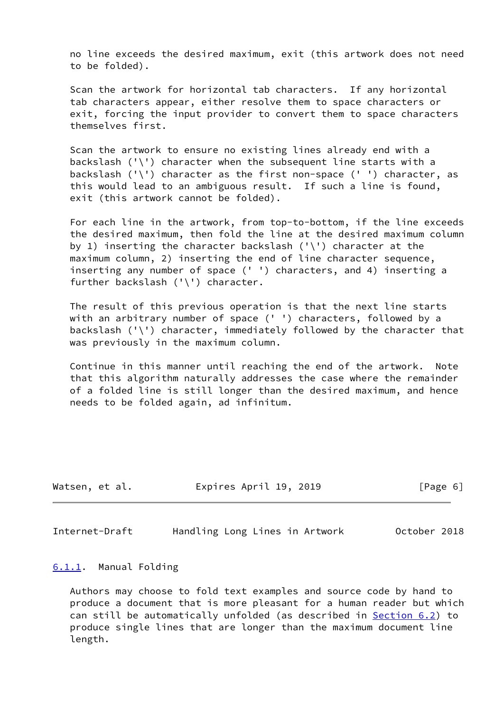no line exceeds the desired maximum, exit (this artwork does not need to be folded).

 Scan the artwork for horizontal tab characters. If any horizontal tab characters appear, either resolve them to space characters or exit, forcing the input provider to convert them to space characters themselves first.

 Scan the artwork to ensure no existing lines already end with a backslash  $('')'$  character when the subsequent line starts with a backslash  $('')$  character as the first non-space  $('')$  character, as this would lead to an ambiguous result. If such a line is found, exit (this artwork cannot be folded).

 For each line in the artwork, from top-to-bottom, if the line exceeds the desired maximum, then fold the line at the desired maximum column by 1) inserting the character backslash  $('\\')$  character at the maximum column, 2) inserting the end of line character sequence, inserting any number of space (' ') characters, and 4) inserting a further backslash ('\') character.

 The result of this previous operation is that the next line starts with an arbitrary number of space (' ') characters, followed by a backslash ('\') character, immediately followed by the character that was previously in the maximum column.

 Continue in this manner until reaching the end of the artwork. Note that this algorithm naturally addresses the case where the remainder of a folded line is still longer than the desired maximum, and hence needs to be folded again, ad infinitum.

| Watsen, et al. | Expires April 19, 2019 |  | [Page 6] |
|----------------|------------------------|--|----------|
|----------------|------------------------|--|----------|

<span id="page-6-1"></span>Internet-Draft Handling Long Lines in Artwork October 2018

#### <span id="page-6-0"></span>[6.1.1](#page-6-0). Manual Folding

 Authors may choose to fold text examples and source code by hand to produce a document that is more pleasant for a human reader but which can still be automatically unfolded (as described in [Section 6.2](#page-7-0)) to produce single lines that are longer than the maximum document line length.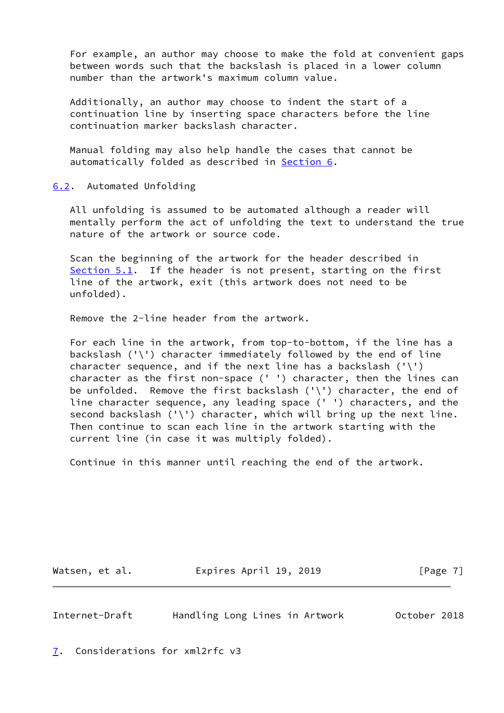For example, an author may choose to make the fold at convenient gaps between words such that the backslash is placed in a lower column number than the artwork's maximum column value.

 Additionally, an author may choose to indent the start of a continuation line by inserting space characters before the line continuation marker backslash character.

 Manual folding may also help handle the cases that cannot be automatically folded as described in [Section 6](#page-5-1).

<span id="page-7-0"></span>[6.2](#page-7-0). Automated Unfolding

 All unfolding is assumed to be automated although a reader will mentally perform the act of unfolding the text to understand the true nature of the artwork or source code.

 Scan the beginning of the artwork for the header described in [Section 5.1](#page-4-3). If the header is not present, starting on the first line of the artwork, exit (this artwork does not need to be unfolded).

Remove the 2-line header from the artwork.

 For each line in the artwork, from top-to-bottom, if the line has a backslash ('\') character immediately followed by the end of line character sequence, and if the next line has a backslash  $('\\')$  character as the first non-space (' ') character, then the lines can be unfolded. Remove the first backslash ('\') character, the end of line character sequence, any leading space (' ') characters, and the second backslash ('\') character, which will bring up the next line. Then continue to scan each line in the artwork starting with the current line (in case it was multiply folded).

Continue in this manner until reaching the end of the artwork.

Watsen, et al. **Expires April 19, 2019** [Page 7]

<span id="page-7-2"></span>Internet-Draft Handling Long Lines in Artwork October 2018

<span id="page-7-1"></span>[7](#page-7-1). Considerations for xml2rfc v3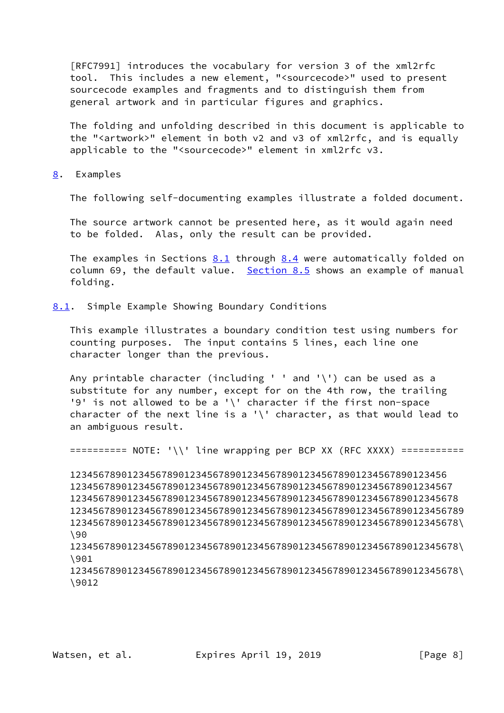[RFC7991] introduces the vocabulary for version 3 of the xml2rfc tool. This includes a new element, "<sourcecode>" used to present sourcecode examples and fragments and to distinguish them from general artwork and in particular figures and graphics.

 The folding and unfolding described in this document is applicable to the "<artwork>" element in both v2 and v3 of xml2rfc, and is equally applicable to the "<sourcecode>" element in xml2rfc v3.

<span id="page-8-0"></span>[8](#page-8-0). Examples

The following self-documenting examples illustrate a folded document.

 The source artwork cannot be presented here, as it would again need to be folded. Alas, only the result can be provided.

 The examples in Sections [8.1](#page-8-1) through [8.4](#page-9-3) were automatically folded on column 69, the default value. [Section 8.5](#page-9-4) shows an example of manual folding.

<span id="page-8-1"></span>[8.1](#page-8-1). Simple Example Showing Boundary Conditions

 This example illustrates a boundary condition test using numbers for counting purposes. The input contains 5 lines, each line one character longer than the previous.

Any printable character (including ' ' and '\') can be used as a substitute for any number, except for on the 4th row, the trailing '9' is not allowed to be a '\' character if the first non-space character of the next line is a '\' character, as that would lead to an ambiguous result.

========== NOTE: '\\' line wrapping per BCP XX (RFC XXXX) ===========

 123456789012345678901234567890123456789012345678901234567890123456 1234567890123456789012345678901234567890123456789012345678901234567 12345678901234567890123456789012345678901234567890123456789012345678 123456789012345678901234567890123456789012345678901234567890123456789 12345678901234567890123456789012345678901234567890123456789012345678\ \90

 12345678901234567890123456789012345678901234567890123456789012345678\ \901

 12345678901234567890123456789012345678901234567890123456789012345678\ \9012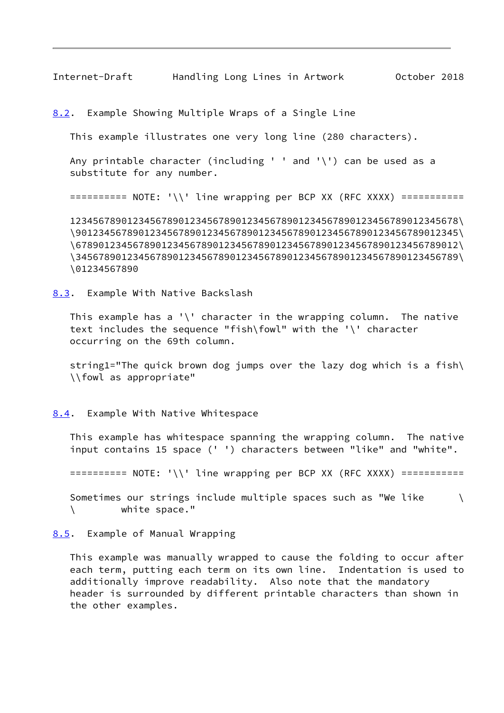<span id="page-9-1"></span>Internet-Draft Handling Long Lines in Artwork October 2018

<span id="page-9-0"></span>[8.2](#page-9-0). Example Showing Multiple Wraps of a Single Line

This example illustrates one very long line (280 characters).

 Any printable character (including ' ' and '\') can be used as a substitute for any number.

========== NOTE: '\\' line wrapping per BCP XX (RFC XXXX) ===========

 12345678901234567890123456789012345678901234567890123456789012345678\ \9012345678901234567890123456789012345678901234567890123456789012345\ \6789012345678901234567890123456789012345678901234567890123456789012\ \3456789012345678901234567890123456789012345678901234567890123456789\ \01234567890

<span id="page-9-2"></span>[8.3](#page-9-2). Example With Native Backslash

This example has a '\' character in the wrapping column. The native text includes the sequence "fish\fowl" with the '\' character occurring on the 69th column.

 string1="The quick brown dog jumps over the lazy dog which is a fish\ \\fowl as appropriate"

<span id="page-9-3"></span>[8.4](#page-9-3). Example With Native Whitespace

 This example has whitespace spanning the wrapping column. The native input contains 15 space (' ') characters between "like" and "white".

========== NOTE: '\\' line wrapping per BCP XX (RFC XXXX) ===========

Sometimes our strings include multiple spaces such as "We like  $\setminus$ \ white space."

#### <span id="page-9-4"></span>[8.5](#page-9-4). Example of Manual Wrapping

 This example was manually wrapped to cause the folding to occur after each term, putting each term on its own line. Indentation is used to additionally improve readability. Also note that the mandatory header is surrounded by different printable characters than shown in the other examples.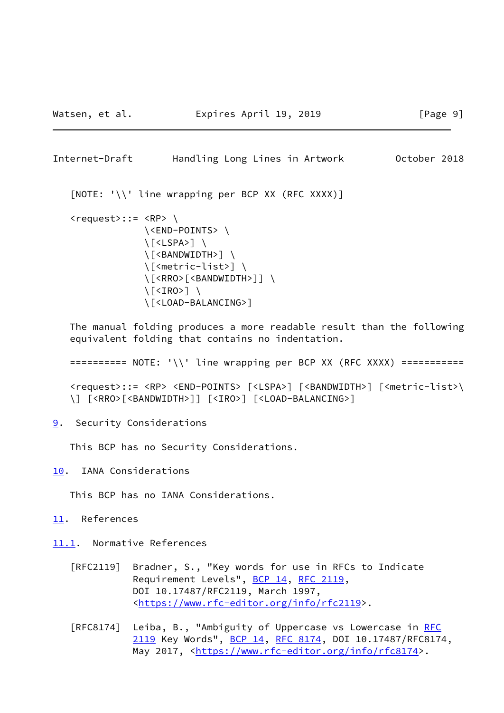<span id="page-10-1"></span>Internet-Draft Handling Long Lines in Artwork October 2018

[NOTE: '\\' line wrapping per BCP XX (RFC XXXX)]

```
\langle request \rangle::= \langle RP \rangle \
                 \<END-POINTS> \
                 \[<LSPA>] \
                 \[<BANDWIDTH>] \
                 \[<metric-list>] \
                 \[<RRO>[<BANDWIDTH>]] \
                 \[<IRO>] \
                 \[<LOAD-BALANCING>]
```
 The manual folding produces a more readable result than the following equivalent folding that contains no indentation.

========== NOTE: '\\' line wrapping per BCP XX (RFC XXXX) ===========

 <request>::= <RP> <END-POINTS> [<LSPA>] [<BANDWIDTH>] [<metric-list>\ \] [<RRO>[<BANDWIDTH>]] [<IRO>] [<LOAD-BALANCING>]

<span id="page-10-0"></span>[9](#page-10-0). Security Considerations

This BCP has no Security Considerations.

<span id="page-10-2"></span>[10.](#page-10-2) IANA Considerations

This BCP has no IANA Considerations.

<span id="page-10-3"></span>[11.](#page-10-3) References

<span id="page-10-4"></span>[11.1](#page-10-4). Normative References

- [RFC2119] Bradner, S., "Key words for use in RFCs to Indicate Requirement Levels", [BCP 14](https://datatracker.ietf.org/doc/pdf/bcp14), [RFC 2119](https://datatracker.ietf.org/doc/pdf/rfc2119), DOI 10.17487/RFC2119, March 1997, <[https://www.rfc-editor.org/info/rfc2119>](https://www.rfc-editor.org/info/rfc2119).
- [RFC8174] Leiba, B., "Ambiguity of Uppercase vs Lowercase in [RFC](https://datatracker.ietf.org/doc/pdf/rfc2119) [2119](https://datatracker.ietf.org/doc/pdf/rfc2119) Key Words", [BCP 14](https://datatracker.ietf.org/doc/pdf/bcp14), [RFC 8174,](https://datatracker.ietf.org/doc/pdf/rfc8174) DOI 10.17487/RFC8174, May 2017, [<https://www.rfc-editor.org/info/rfc8174](https://www.rfc-editor.org/info/rfc8174)>.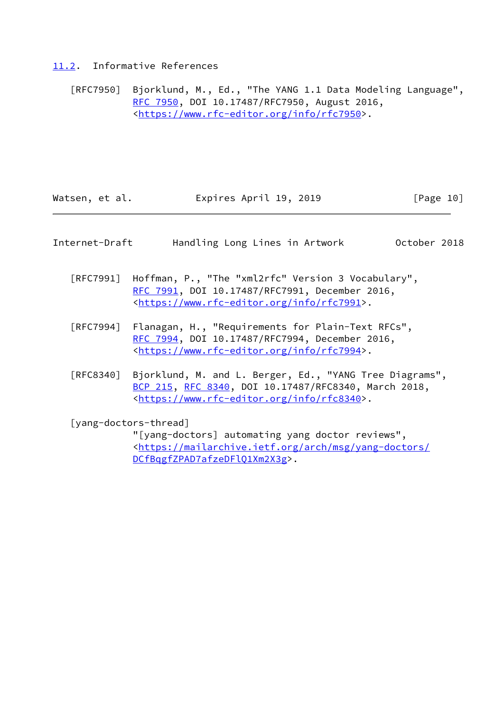### <span id="page-11-0"></span>[11.2](#page-11-0). Informative References

 [RFC7950] Bjorklund, M., Ed., "The YANG 1.1 Data Modeling Language", [RFC 7950,](https://datatracker.ietf.org/doc/pdf/rfc7950) DOI 10.17487/RFC7950, August 2016, <[https://www.rfc-editor.org/info/rfc7950>](https://www.rfc-editor.org/info/rfc7950).

| Watsen, et al. | Expires April 19, 2019 | [Page 10] |
|----------------|------------------------|-----------|
|----------------|------------------------|-----------|

| Internet-Draft | Handling Long Lines in Artwork |  |  | October 2018 |  |
|----------------|--------------------------------|--|--|--------------|--|
|                |                                |  |  |              |  |

- [RFC7991] Hoffman, P., "The "xml2rfc" Version 3 Vocabulary", [RFC 7991,](https://datatracker.ietf.org/doc/pdf/rfc7991) DOI 10.17487/RFC7991, December 2016, <[https://www.rfc-editor.org/info/rfc7991>](https://www.rfc-editor.org/info/rfc7991).
- [RFC7994] Flanagan, H., "Requirements for Plain-Text RFCs", [RFC 7994,](https://datatracker.ietf.org/doc/pdf/rfc7994) DOI 10.17487/RFC7994, December 2016, <[https://www.rfc-editor.org/info/rfc7994>](https://www.rfc-editor.org/info/rfc7994).
- [RFC8340] Bjorklund, M. and L. Berger, Ed., "YANG Tree Diagrams", [BCP 215](https://datatracker.ietf.org/doc/pdf/bcp215), [RFC 8340,](https://datatracker.ietf.org/doc/pdf/rfc8340) DOI 10.17487/RFC8340, March 2018, <[https://www.rfc-editor.org/info/rfc8340>](https://www.rfc-editor.org/info/rfc8340).

<span id="page-11-1"></span>[yang-doctors-thread]

 "[yang-doctors] automating yang doctor reviews", <[https://mailarchive.ietf.org/arch/msg/yang-doctors/](https://mailarchive.ietf.org/arch/msg/yang-doctors/DCfBqgfZPAD7afzeDFlQ1Xm2X3g) [DCfBqgfZPAD7afzeDFlQ1Xm2X3g](https://mailarchive.ietf.org/arch/msg/yang-doctors/DCfBqgfZPAD7afzeDFlQ1Xm2X3g)>.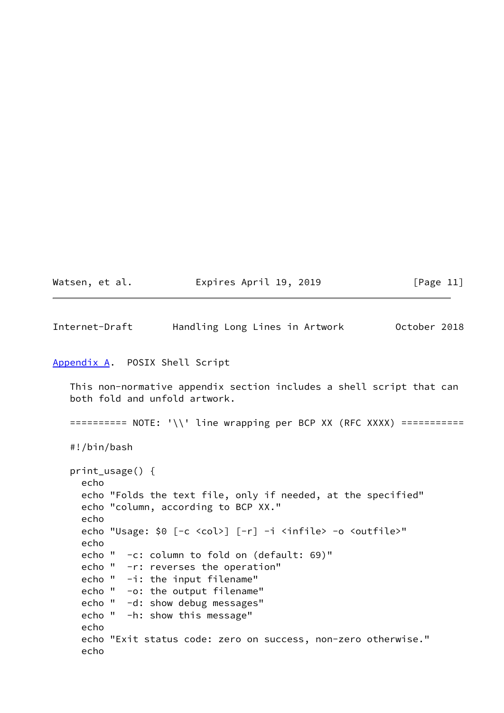| Watsen, | et al. |  |
|---------|--------|--|
|         |        |  |

Expires April 19, 2019  $[Page 11]$ 

<span id="page-12-1"></span>Internet-Draft Handling Long Lines in Artwork October 2018

### <span id="page-12-0"></span>[Appendix A.](#page-12-0) POSIX Shell Script

 This non-normative appendix section includes a shell script that can both fold and unfold artwork.

========== NOTE: '\\' line wrapping per BCP XX (RFC XXXX) ===========

#!/bin/bash

```
 print_usage() {
   echo
   echo "Folds the text file, only if needed, at the specified"
   echo "column, according to BCP XX."
   echo
   echo "Usage: $0 [-c <col>] [-r] -i <infile> -o <outfile>"
   echo
   echo " -c: column to fold on (default: 69)"
   echo " -r: reverses the operation"
   echo " -i: the input filename"
   echo " -o: the output filename"
   echo " -d: show debug messages"
   echo " -h: show this message"
   echo
   echo "Exit status code: zero on success, non-zero otherwise."
   echo
```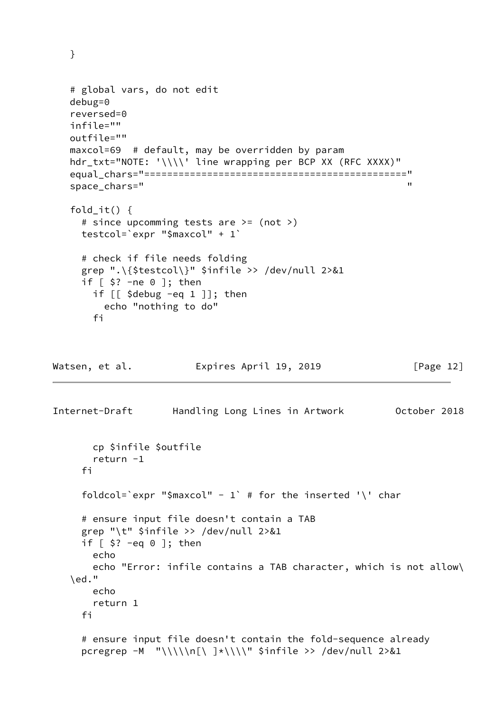# global vars, do not edit debug=0 reversed=0 infile="" outfile="" maxcol=69 # default, may be overridden by param hdr\_txt="NOTE: '\\\\' line wrapping per BCP XX (RFC XXXX)" equal\_chars="==============================================" space\_chars="  $\blacksquare$  fold\_it() { # since upcomming tests are >= (not >) testcol=`expr "\$maxcol" + 1` # check if file needs folding grep ".\{\$testcol\}" \$infile >> /dev/null 2>&1 if  $\lceil$  \$? -ne 0 ]; then if [[ \$debug -eq 1 ]]; then echo "nothing to do" fi

}

Watsen, et al. Expires April 19, 2019 [Page 12]

```
Internet-Draft Handling Long Lines in Artwork October 2018
        cp $infile $outfile
        return -1
      fi
    foldcol='expr "$maxcol" - 1' # for the inserted '\' char
      # ensure input file doesn't contain a TAB
     grep "\t" $infile >> /dev/null 2>&1
     if [ $? -eq 0 ]; then
        echo
        echo "Error: infile contains a TAB character, which is not allow\
    \ed."
        echo
        return 1
      fi
      # ensure input file doesn't contain the fold-sequence already
     pcregrep -M "\\\\\n[\ ]*\\\\" $infile >> /dev/null 2>&1
```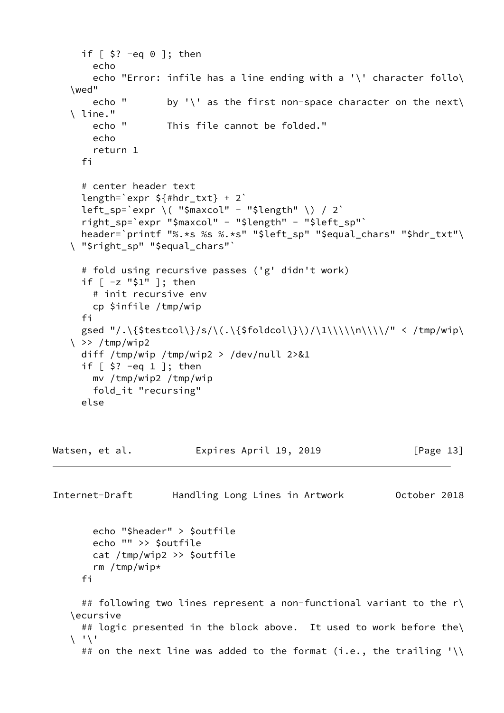```
if \lceil 5? -eq 0 ]; then
        echo
        echo "Error: infile has a line ending with a '\' character follo\
    \wed"
       echo " by '\' as the first non-space character on the next\
    \ line."
        echo " This file cannot be folded."
        echo
        return 1
      fi
      # center header text
      length=`expr ${#hdr_txt} + 2`
     left_sp=`expr \( "$maxcol" - "$length" \) / 2`
      right_sp=`expr "$maxcol" - "$length" - "$left_sp"`
     header=`printf "%.*s %s %.*s" "$left sp" "$equal chars" "$hdr txt"\
    \ "$right_sp" "$equal_chars"`
      # fold using recursive passes ('g' didn't work)
      if [ -z "$1" ]; then
        # init recursive env
        cp $infile /tmp/wip
      fi
     gsed "/.\{$testcol\}/s/\(.\{$foldcol\}\)/\1\\\\n\\\\/" < /tmp/wip\
   \langle \rangle >> /tmp/wip2
      diff /tmp/wip /tmp/wip2 > /dev/null 2>&1
      if [ $? -eq 1 ]; then
        mv /tmp/wip2 /tmp/wip
        fold_it "recursing"
      else
Watsen, et al. Expires April 19, 2019 [Page 13]
Internet-Draft Handling Long Lines in Artwork October 2018
        echo "$header" > $outfile
        echo "" >> $outfile
        cat /tmp/wip2 >> $outfile
        rm /tmp/wip*
      fi
      ## following two lines represent a non-functional variant to the r\
    \ecursive
     ## logic presented in the block above. It used to work before the\
   \setminus '\setminus'
     ## on the next line was added to the format (i.e., the trailing '\\
```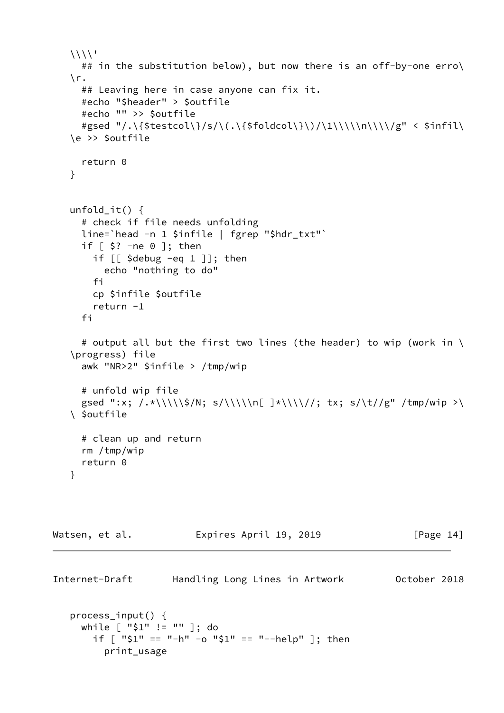```
\langle ## in the substitution below), but now there is an off-by-one erro\
     \r.
        ## Leaving here in case anyone can fix it.
        #echo "$header" > $outfile
        #echo "" >> $outfile
       #gsed "/.\{$testcol\}/s/\(.\{$foldcol\}\)/\1\\\\\n\\\\/g" < $infil\
     \e >> $outfile
        return 0
     }
     unfold_it() {
        # check if file needs unfolding
       line=`head -n 1 $infile | fgrep "$hdr txt"`
        if [ $? -ne 0 ]; then
          if \lceil \int \frac{1}{3} \text{d} \cdot \text{d} \cdot \text{d} \cdot \text{d} \cdot \text{d} \cdot \text{d} \cdot \text{d} \cdot \text{d} \cdot \text{d} \cdot \text{d} \cdot \text{d} \cdot \text{d} \cdot \text{d} \cdot \text{d} \cdot \text{d} \cdot \text{d} \cdot \text{d} \cdot \text{d} \cdot \text{d} \cdot \text{d} \cdot \text{d} \cdot \text{d} \cdot \text{d} \cdot \text{d} \cdot \text{d} \cdot \text{d} \cdot \text{d} \cdot \text{d} \cdot \text{d} \cdot \text echo "nothing to do"
           fi
           cp $infile $outfile
           return -1
        fi
        # output all but the first two lines (the header) to wip (work in \
     \progress) file
        awk "NR>2" $infile > /tmp/wip
        # unfold wip file
       gsed ":x; /.*\\\\\$/N; s/\\\\\n[ ]*\\\\//; tx; s/\t//g" /tmp/wip >\
     \ $outfile
        # clean up and return
        rm /tmp/wip
        return 0
     }
Watsen, et al. Expires April 19, 2019 [Page 14]
Internet-Draft Handling Long Lines in Artwork October 2018
     process_input() {
        while [ "$1" != "" ]; do
           if [ "$1" == "-h" -o "$1" == "--help" ]; then
```
print\_usage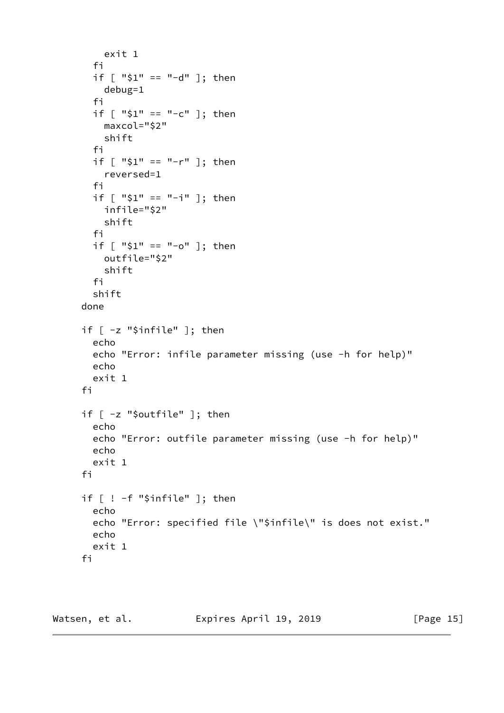```
 exit 1
   fi
   if [ "$1" == "-d" ]; then
    debug=1
   fi
   if [ "$1" == "-c" ]; then
    maxcol="$2"
     shift
   fi
   if [ "$1" == "-r" ]; then
    reversed=1
   fi
   if [ "$1" == "-i" ]; then
    infile="$2"
     shift
   fi
   if [ "$1" == "-o" ]; then
    outfile="$2"
     shift
   fi
   shift
 done
 if [ -z "$infile" ]; then
   echo
   echo "Error: infile parameter missing (use -h for help)"
   echo
   exit 1
 fi
 if [ -z "$outfile" ]; then
   echo
   echo "Error: outfile parameter missing (use -h for help)"
   echo
   exit 1
 fi
 if [ ! -f "$infile" ]; then
   echo
   echo "Error: specified file \"$infile\" is does not exist."
   echo
   exit 1
 fi
```
Watsen, et al. **Expires April 19, 2019** [Page 15]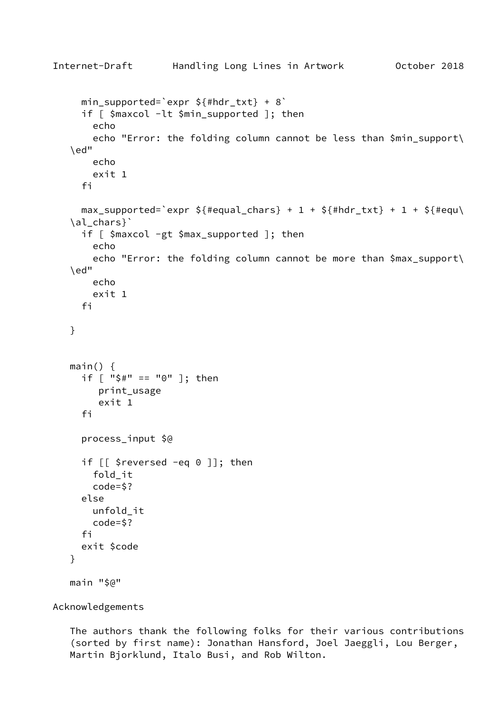```
Internet-Draft Handling Long Lines in Artwork October 2018
     min_supported=`expr ${#hdr_txt} + 8`
     if \lceil $maxcol -lt $min supported ]; then
        echo
        echo "Error: the folding column cannot be less than $min_support\
    \ed"
        echo
        exit 1
      fi
     max_supported=`expr ${#equal_chars} + 1 + ${#hdr_txt} + 1 + ${#equ\
    \al_chars}`
      if [ $maxcol -gt $max_supported ]; then
        echo
        echo "Error: the folding column cannot be more than $max_support\
    \ed"
        echo
        exit 1
      fi
    }
   main() \{ if [ "$#" == "0" ]; then
         print_usage
         exit 1
      fi
      process_input $@
      if [[ $reversed -eq 0 ]]; then
        fold_it
        code=$?
      else
        unfold_it
        code=$?
      fi
      exit $code
    }
    main "$@"
```
Acknowledgements

 The authors thank the following folks for their various contributions (sorted by first name): Jonathan Hansford, Joel Jaeggli, Lou Berger, Martin Bjorklund, Italo Busi, and Rob Wilton.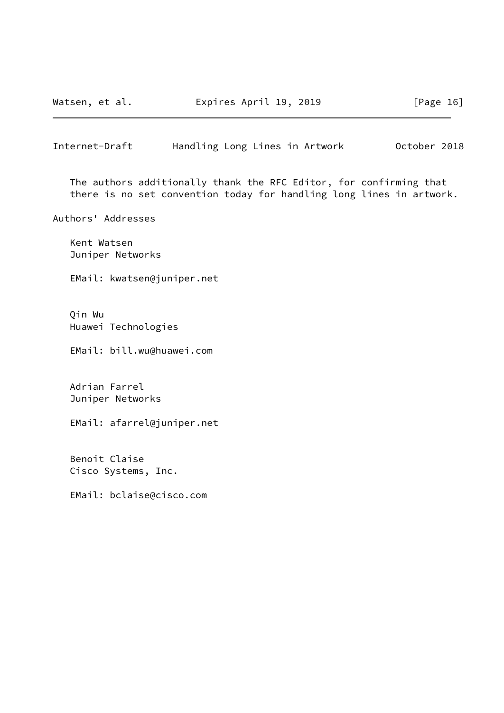Watsen, et al. **Expires April 19, 2019** [Page 16]

<span id="page-18-0"></span>Internet-Draft Handling Long Lines in Artwork October 2018

 The authors additionally thank the RFC Editor, for confirming that there is no set convention today for handling long lines in artwork.

Authors' Addresses

 Kent Watsen Juniper Networks

EMail: kwatsen@juniper.net

 Qin Wu Huawei Technologies

EMail: bill.wu@huawei.com

 Adrian Farrel Juniper Networks

EMail: afarrel@juniper.net

 Benoit Claise Cisco Systems, Inc.

EMail: bclaise@cisco.com